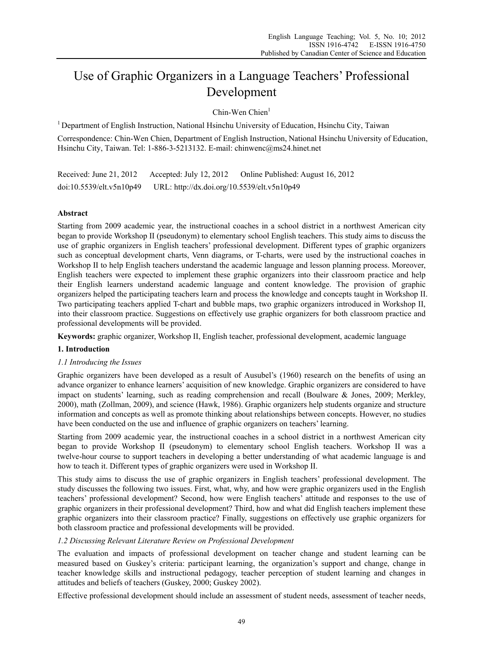# Use of Graphic Organizers in a Language Teachers' Professional Development

 $Chin-Wen Chien<sup>1</sup>$ 

1 Department of English Instruction, National Hsinchu University of Education, Hsinchu City, Taiwan

Correspondence: Chin-Wen Chien, Department of English Instruction, National Hsinchu University of Education, Hsinchu City, Taiwan. Tel: 1-886-3-5213132. E-mail: chinwenc@ms24.hinet.net

Received: June 21, 2012 Accepted: July 12, 2012 Online Published: August 16, 2012 doi:10.5539/elt.v5n10p49 URL: http://dx.doi.org/10.5539/elt.v5n10p49

# **Abstract**

Starting from 2009 academic year, the instructional coaches in a school district in a northwest American city began to provide Workshop II (pseudonym) to elementary school English teachers. This study aims to discuss the use of graphic organizers in English teachers' professional development. Different types of graphic organizers such as conceptual development charts, Venn diagrams, or T-charts, were used by the instructional coaches in Workshop II to help English teachers understand the academic language and lesson planning process. Moreover, English teachers were expected to implement these graphic organizers into their classroom practice and help their English learners understand academic language and content knowledge. The provision of graphic organizers helped the participating teachers learn and process the knowledge and concepts taught in Workshop II. Two participating teachers applied T-chart and bubble maps, two graphic organizers introduced in Workshop II, into their classroom practice. Suggestions on effectively use graphic organizers for both classroom practice and professional developments will be provided.

**Keywords:** graphic organizer, Workshop II, English teacher, professional development, academic language

# **1. Introduction**

# *1.1 Introducing the Issues*

Graphic organizers have been developed as a result of Ausubel's (1960) research on the benefits of using an advance organizer to enhance learners' acquisition of new knowledge. Graphic organizers are considered to have impact on students' learning, such as reading comprehension and recall (Boulware & Jones, 2009; Merkley, 2000), math (Zollman, 2009), and science (Hawk, 1986). Graphic organizers help students organize and structure information and concepts as well as promote thinking about relationships between concepts. However, no studies have been conducted on the use and influence of graphic organizers on teachers' learning.

Starting from 2009 academic year, the instructional coaches in a school district in a northwest American city began to provide Workshop II (pseudonym) to elementary school English teachers. Workshop II was a twelve-hour course to support teachers in developing a better understanding of what academic language is and how to teach it. Different types of graphic organizers were used in Workshop II.

This study aims to discuss the use of graphic organizers in English teachers' professional development. The study discusses the following two issues. First, what, why, and how were graphic organizers used in the English teachers' professional development? Second, how were English teachers' attitude and responses to the use of graphic organizers in their professional development? Third, how and what did English teachers implement these graphic organizers into their classroom practice? Finally, suggestions on effectively use graphic organizers for both classroom practice and professional developments will be provided.

# *1.2 Discussing Relevant Literature Review on Professional Development*

The evaluation and impacts of professional development on teacher change and student learning can be measured based on Guskey's criteria: participant learning, the organization's support and change, change in teacher knowledge skills and instructional pedagogy, teacher perception of student learning and changes in attitudes and beliefs of teachers (Guskey, 2000; Guskey 2002).

Effective professional development should include an assessment of student needs, assessment of teacher needs,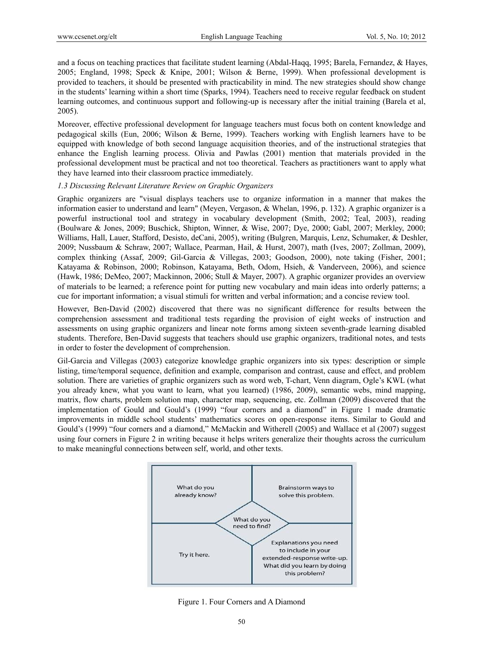and a focus on teaching practices that facilitate student learning (Abdal-Haqq, 1995; Barela, Fernandez, & Hayes, 2005; England, 1998; Speck & Knipe, 2001; Wilson & Berne, 1999). When professional development is provided to teachers, it should be presented with practicability in mind. The new strategies should show change in the students' learning within a short time (Sparks, 1994). Teachers need to receive regular feedback on student learning outcomes, and continuous support and following-up is necessary after the initial training (Barela et al, 2005).

Moreover, effective professional development for language teachers must focus both on content knowledge and pedagogical skills (Eun, 2006; Wilson & Berne, 1999). Teachers working with English learners have to be equipped with knowledge of both second language acquisition theories, and of the instructional strategies that enhance the English learning process. Olivia and Pawlas (2001) mention that materials provided in the professional development must be practical and not too theoretical. Teachers as practitioners want to apply what they have learned into their classroom practice immediately.

#### *1.3 Discussing Relevant Literature Review on Graphic Organizers*

Graphic organizers are "visual displays teachers use to organize information in a manner that makes the information easier to understand and learn" (Meyen, Vergason, & Whelan, 1996, p. 132). A graphic organizer is a powerful instructional tool and strategy in vocabulary development (Smith, 2002; Teal, 2003), reading (Boulware & Jones, 2009; Buschick, Shipton, Winner, & Wise, 2007; Dye, 2000; Gabl, 2007; Merkley, 2000; Williams, Hall, Lauer, Stafford, Desisto, deCani, 2005), writing (Bulgren, Marquis, Lenz, Schumaker, & Deshler, 2009; Nussbaum & Schraw, 2007; Wallace, Pearman, Hail, & Hurst, 2007), math (Ives, 2007; Zollman, 2009), complex thinking (Assaf, 2009; Gil-Garcia & Villegas, 2003; Goodson, 2000), note taking (Fisher, 2001; Katayama & Robinson, 2000; Robinson, Katayama, Beth, Odom, Hsieh, & Vanderveen, 2006), and science (Hawk, 1986; DeMeo, 2007; Mackinnon, 2006; Stull & Mayer, 2007). A graphic organizer provides an overview of materials to be learned; a reference point for putting new vocabulary and main ideas into orderly patterns; a cue for important information; a visual stimuli for written and verbal information; and a concise review tool.

However, Ben-David (2002) discovered that there was no significant difference for results between the comprehension assessment and traditional tests regarding the provision of eight weeks of instruction and assessments on using graphic organizers and linear note forms among sixteen seventh-grade learning disabled students. Therefore, Ben-David suggests that teachers should use graphic organizers, traditional notes, and tests in order to foster the development of comprehension.

Gil-Garcia and Villegas (2003) categorize knowledge graphic organizers into six types: description or simple listing, time/temporal sequence, definition and example, comparison and contrast, cause and effect, and problem solution. There are varieties of graphic organizers such as word web, T-chart, Venn diagram, Ogle's KWL (what you already knew, what you want to learn, what you learned) (1986, 2009), semantic webs, mind mapping, matrix, flow charts, problem solution map, character map, sequencing, etc. Zollman (2009) discovered that the implementation of Gould and Gould's (1999) "four corners and a diamond" in Figure 1 made dramatic improvements in middle school students' mathematics scores on open-response items. Similar to Gould and Gould's (1999) "four corners and a diamond," McMackin and Witherell (2005) and Wallace et al (2007) suggest using four corners in Figure 2 in writing because it helps writers generalize their thoughts across the curriculum to make meaningful connections between self, world, and other texts.



Figure 1. Four Corners and A Diamond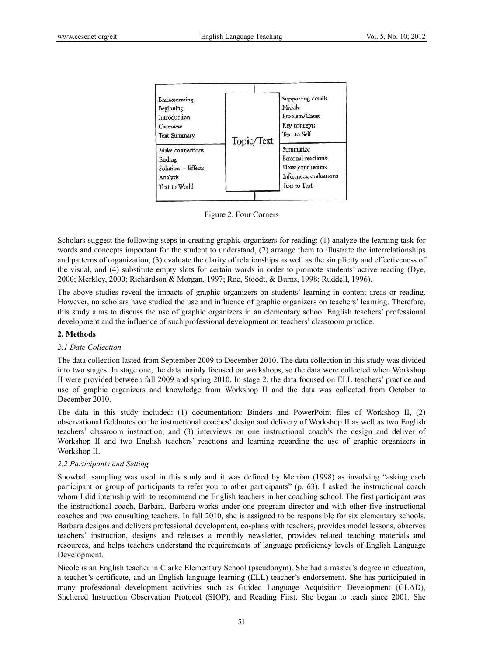

Figure 2. Four Corners

Scholars suggest the following steps in creating graphic organizers for reading: (1) analyze the learning task for words and concepts important for the student to understand, (2) arrange them to illustrate the interrelationships and patterns of organization, (3) evaluate the clarity of relationships as well as the simplicity and effectiveness of the visual, and (4) substitute empty slots for certain words in order to promote students' active reading (Dye, 2000; Merkley, 2000; Richardson & Morgan, 1997; Roe, Stoodt, & Burns, 1998; Ruddell, 1996).

The above studies reveal the impacts of graphic organizers on students' learning in content areas or reading. However, no scholars have studied the use and influence of graphic organizers on teachers' learning. Therefore, this study aims to discuss the use of graphic organizers in an elementary school English teachers' professional development and the influence of such professional development on teachers' classroom practice.

## **2. Methods**

## *2.1 Date Collection*

The data collection lasted from September 2009 to December 2010. The data collection in this study was divided into two stages. In stage one, the data mainly focused on workshops, so the data were collected when Workshop II were provided between fall 2009 and spring 2010. In stage 2, the data focused on ELL teachers' practice and use of graphic organizers and knowledge from Workshop II and the data was collected from October to December 2010.

The data in this study included: (1) documentation: Binders and PowerPoint files of Workshop II, (2) observational fieldnotes on the instructional coaches' design and delivery of Workshop II as well as two English teachers' classroom instruction, and (3) interviews on one instructional coach's the design and deliver of Workshop II and two English teachers' reactions and learning regarding the use of graphic organizers in Workshop II.

#### *2.2 Participants and Setting*

Snowball sampling was used in this study and it was defined by Merrian (1998) as involving "asking each participant or group of participants to refer you to other participants" (p. 63). I asked the instructional coach whom I did internship with to recommend me English teachers in her coaching school. The first participant was the instructional coach, Barbara. Barbara works under one program director and with other five instructional coaches and two consulting teachers. In fall 2010, she is assigned to be responsible for six elementary schools. Barbara designs and delivers professional development, co-plans with teachers, provides model lessons, observes teachers' instruction, designs and releases a monthly newsletter, provides related teaching materials and resources, and helps teachers understand the requirements of language proficiency levels of English Language Development.

Nicole is an English teacher in Clarke Elementary School (pseudonym). She had a master's degree in education, a teacher's certificate, and an English language learning (ELL) teacher's endorsement. She has participated in many professional development activities such as Guided Language Acquisition Development (GLAD), Sheltered Instruction Observation Protocol (SIOP), and Reading First. She began to teach since 2001. She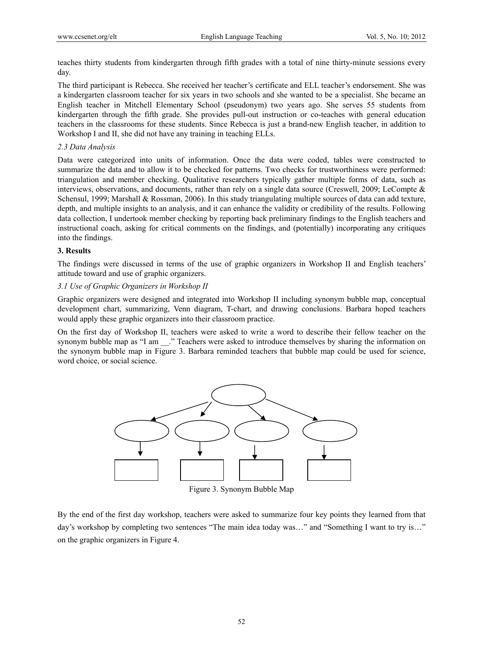teaches thirty students from kindergarten through fifth grades with a total of nine thirty-minute sessions every day.

The third participant is Rebecca. She received her teacher's certificate and ELL teacher's endorsement. She was a kindergarten classroom teacher for six years in two schools and she wanted to be a specialist. She became an English teacher in Mitchell Elementary School (pseudonym) two years ago. She serves 55 students from kindergarten through the fifth grade. She provides pull-out instruction or co-teaches with general education teachers in the classrooms for these students. Since Rebecca is just a brand-new English teacher, in addition to Workshop I and II, she did not have any training in teaching ELLs.

#### *2.3 Data Analysis*

Data were categorized into units of information. Once the data were coded, tables were constructed to summarize the data and to allow it to be checked for patterns. Two checks for trustworthiness were performed: triangulation and member checking. Qualitative researchers typically gather multiple forms of data, such as interviews, observations, and documents, rather than rely on a single data source (Creswell, 2009; LeCompte & Schensul, 1999; Marshall & Rossman, 2006). In this study triangulating multiple sources of data can add texture, depth, and multiple insights to an analysis, and it can enhance the validity or credibility of the results. Following data collection, I undertook member checking by reporting back preliminary findings to the English teachers and instructional coach, asking for critical comments on the findings, and (potentially) incorporating any critiques into the findings.

# **3. Results**

The findings were discussed in terms of the use of graphic organizers in Workshop II and English teachers' attitude toward and use of graphic organizers.

# *3.1 Use of Graphic Organizers in Workshop II*

Graphic organizers were designed and integrated into Workshop II including synonym bubble map, conceptual development chart, summarizing, Venn diagram, T-chart, and drawing conclusions. Barbara hoped teachers would apply these graphic organizers into their classroom practice.

On the first day of Workshop II, teachers were asked to write a word to describe their fellow teacher on the synonym bubble map as "I am \_\_\_." Teachers were asked to introduce themselves by sharing the information on the synonym bubble map in Figure 3. Barbara reminded teachers that bubble map could be used for science, word choice, or social science.



Figure 3. Synonym Bubble Map

By the end of the first day workshop, teachers were asked to summarize four key points they learned from that day's workshop by completing two sentences "The main idea today was…" and "Something I want to try is…" on the graphic organizers in Figure 4.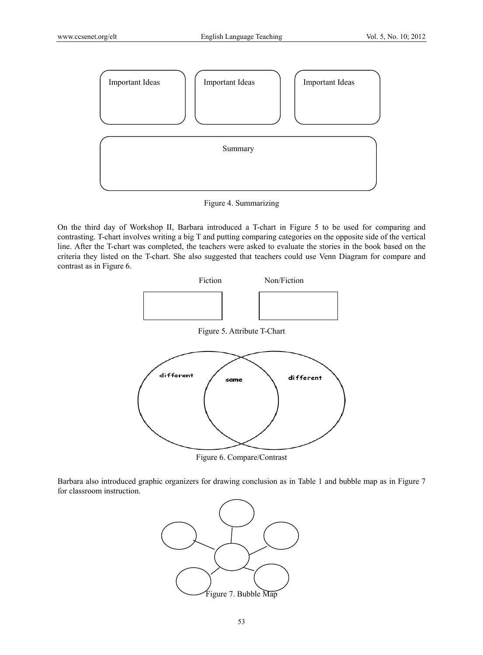

Figure 4. Summarizing

On the third day of Workshop II, Barbara introduced a T-chart in Figure 5 to be used for comparing and contrasting. T-chart involves writing a big T and putting comparing categories on the opposite side of the vertical line. After the T-chart was completed, the teachers were asked to evaluate the stories in the book based on the criteria they listed on the T-chart. She also suggested that teachers could use Venn Diagram for compare and contrast as in Figure 6.





Figure 6. Compare/Contrast

Barbara also introduced graphic organizers for drawing conclusion as in Table 1 and bubble map as in Figure 7 for classroom instruction.

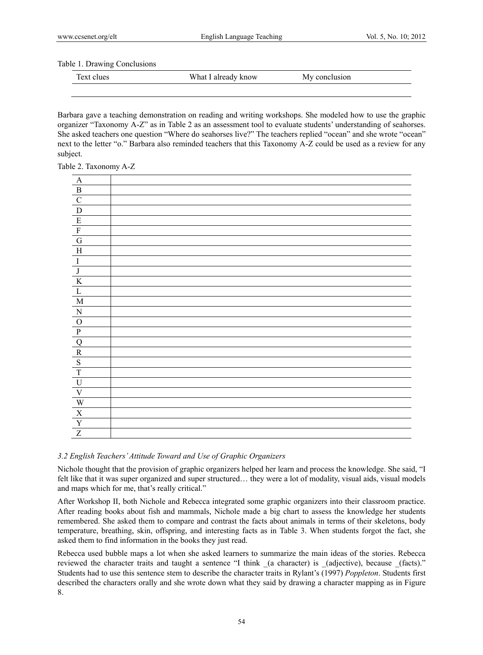Table 1. Drawing Conclusions

| Text clues | What I already know | My conclusion |  |
|------------|---------------------|---------------|--|
|            |                     |               |  |

Barbara gave a teaching demonstration on reading and writing workshops. She modeled how to use the graphic organizer "Taxonomy A-Z" as in Table 2 as an assessment tool to evaluate students' understanding of seahorses. She asked teachers one question "Where do seahorses live?" The teachers replied "ocean" and she wrote "ocean" next to the letter "o." Barbara also reminded teachers that this Taxonomy A-Z could be used as a review for any subject.

|  | Table 2. Taxonomy A-Z |  |
|--|-----------------------|--|
|--|-----------------------|--|

| $\mathbf{A}$                  |  |
|-------------------------------|--|
| $\, {\bf B}$                  |  |
| $\overline{C}$                |  |
| $\overline{D}$                |  |
| $\mathbf E$                   |  |
| $\rm F$                       |  |
| $\overline{G}$                |  |
| $\,$ H                        |  |
| $\;$ I                        |  |
| $\overline{\mathbf{J}}$       |  |
| $\rm K$                       |  |
| $\mathbf L$                   |  |
| $\mathbf M$                   |  |
| ${\bf N}$                     |  |
| $\mathbf{O}$                  |  |
| $\overline{P}$                |  |
| Q                             |  |
| $\overline{R}$                |  |
| $\overline{\mathbf{S}}$       |  |
| $\mathbf T$                   |  |
| ${\bf U}$                     |  |
| $\mathbf V$                   |  |
| $\mathbf W$                   |  |
| $\overline{\mathbf{X}}$       |  |
| $\mathbf Y$                   |  |
| $\ensuremath{\textnormal{Z}}$ |  |

## *3.2 English Teachers' Attitude Toward and Use of Graphic Organizers*

Nichole thought that the provision of graphic organizers helped her learn and process the knowledge. She said, "I felt like that it was super organized and super structured… they were a lot of modality, visual aids, visual models and maps which for me, that's really critical."

After Workshop II, both Nichole and Rebecca integrated some graphic organizers into their classroom practice. After reading books about fish and mammals, Nichole made a big chart to assess the knowledge her students remembered. She asked them to compare and contrast the facts about animals in terms of their skeletons, body temperature, breathing, skin, offspring, and interesting facts as in Table 3. When students forgot the fact, she asked them to find information in the books they just read.

Rebecca used bubble maps a lot when she asked learners to summarize the main ideas of the stories. Rebecca reviewed the character traits and taught a sentence "I think (a character) is (adjective), because (facts)." Students had to use this sentence stem to describe the character traits in Rylant's (1997) *Poppleton*. Students first described the characters orally and she wrote down what they said by drawing a character mapping as in Figure 8.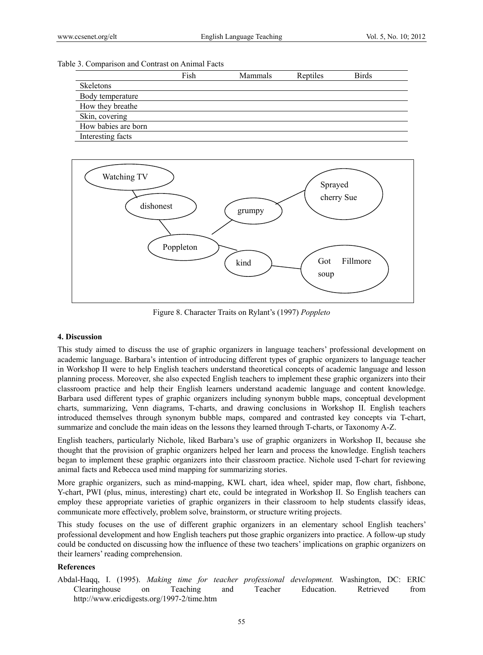Table 3. Comparison and Contrast on Animal Facts

|                     | Fish | Mammals | Reptiles | <b>Birds</b> |
|---------------------|------|---------|----------|--------------|
| <b>Skeletons</b>    |      |         |          |              |
| Body temperature    |      |         |          |              |
| How they breathe    |      |         |          |              |
| Skin, covering      |      |         |          |              |
| How babies are born |      |         |          |              |
| Interesting facts   |      |         |          |              |



Figure 8. Character Traits on Rylant's (1997) *Poppleto*

## **4. Discussion**

This study aimed to discuss the use of graphic organizers in language teachers' professional development on academic language. Barbara's intention of introducing different types of graphic organizers to language teacher in Workshop II were to help English teachers understand theoretical concepts of academic language and lesson planning process. Moreover, she also expected English teachers to implement these graphic organizers into their classroom practice and help their English learners understand academic language and content knowledge. Barbara used different types of graphic organizers including synonym bubble maps, conceptual development charts, summarizing, Venn diagrams, T-charts, and drawing conclusions in Workshop II. English teachers introduced themselves through synonym bubble maps, compared and contrasted key concepts via T-chart, summarize and conclude the main ideas on the lessons they learned through T-charts, or Taxonomy A-Z.

English teachers, particularly Nichole, liked Barbara's use of graphic organizers in Workshop II, because she thought that the provision of graphic organizers helped her learn and process the knowledge. English teachers began to implement these graphic organizers into their classroom practice. Nichole used T-chart for reviewing animal facts and Rebecca used mind mapping for summarizing stories.

More graphic organizers, such as mind-mapping, KWL chart, idea wheel, spider map, flow chart, fishbone, Y-chart, PWI (plus, minus, interesting) chart etc, could be integrated in Workshop II. So English teachers can employ these appropriate varieties of graphic organizers in their classroom to help students classify ideas, communicate more effectively, problem solve, brainstorm, or structure writing projects.

This study focuses on the use of different graphic organizers in an elementary school English teachers' professional development and how English teachers put those graphic organizers into practice. A follow-up study could be conducted on discussing how the influence of these two teachers' implications on graphic organizers on their learners' reading comprehension.

# **References**

Abdal-Haqq, I. (1995). *Making time for teacher professional development.* Washington, DC: ERIC Clearinghouse on Teaching and Teacher Education. Retrieved from http://www.ericdigests.org/1997-2/time.htm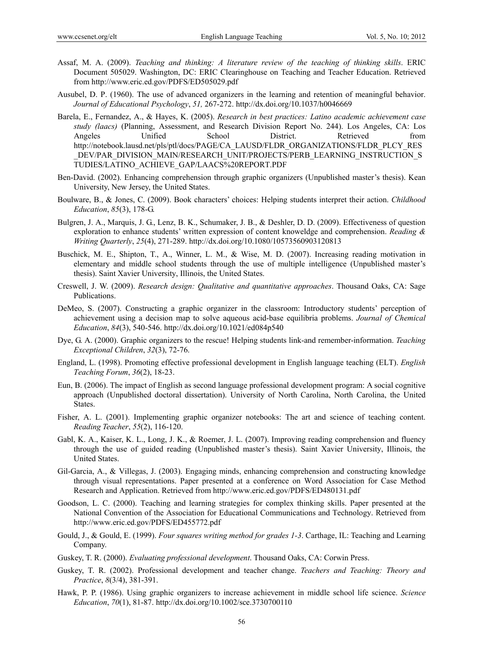- Assaf, M. A. (2009). *Teaching and thinking: A literature review of the teaching of thinking skills*. ERIC Document 505029. Washington, DC: ERIC Clearinghouse on Teaching and Teacher Education. Retrieved from http://www.eric.ed.gov/PDFS/ED505029.pdf
- Ausubel, D. P. (1960). The use of advanced organizers in the learning and retention of meaningful behavior. *Journal of Educational Psychology*, *51,* 267-272. http://dx.doi.org/10.1037/h0046669
- Barela, E., Fernandez, A., & Hayes, K. (2005). *Research in best practices: Latino academic achievement case study (laacs)* (Planning, Assessment, and Research Division Report No. 244). Los Angeles, CA: Los Angeles Unified School District. Retrieved from http://notebook.lausd.net/pls/ptl/docs/PAGE/CA\_LAUSD/FLDR\_ORGANIZATIONS/FLDR\_PLCY\_RES DEV/PAR\_DIVISION\_MAIN/RESEARCH\_UNIT/PROJECTS/PERB\_LEARNING\_INSTRUCTION\_S TUDIES/LATINO\_ACHIEVE\_GAP/LAACS%20REPORT.PDF
- Ben-David. (2002). Enhancing comprehension through graphic organizers (Unpublished master's thesis). Kean University, New Jersey, the United States.
- Boulware, B., & Jones, C. (2009). Book characters' choices: Helping students interpret their action. *Childhood Education*, *85*(3), 178-G.
- Bulgren, J. A., Marquis, J. G., Lenz, B. K., Schumaker, J. B., & Deshler, D. D. (2009). Effectiveness of question exploration to enhance students' written expression of content knoweldge and comprehension. *Reading & Writing Quarterly*, *25*(4), 271-289. http://dx.doi.org/10.1080/10573560903120813
- Buschick, M. E., Shipton, T., A., Winner, L. M., & Wise, M. D. (2007). Increasing reading motivation in elementary and middle school students through the use of multiple intelligence (Unpublished master's thesis). Saint Xavier University, Illinois, the United States.
- Creswell, J. W. (2009). *Research design: Qualitative and quantitative approaches*. Thousand Oaks, CA: Sage Publications.
- DeMeo, S. (2007). Constructing a graphic organizer in the classroom: Introductory students' perception of achievement using a decision map to solve aqueous acid-base equilibria problems. *Journal of Chemical Education*, *84*(3), 540-546. http://dx.doi.org/10.1021/ed084p540
- Dye, G. A. (2000). Graphic organizers to the rescue! Helping students link-and remember-information. *Teaching Exceptional Children*, *32*(3), 72-76.
- England, L. (1998). Promoting effective professional development in English language teaching (ELT). *English Teaching Forum*, *36*(2), 18-23.
- Eun, B. (2006). The impact of English as second language professional development program: A social cognitive approach (Unpublished doctoral dissertation). University of North Carolina, North Carolina, the United States.
- Fisher, A. L. (2001). Implementing graphic organizer notebooks: The art and science of teaching content. *Reading Teacher*, *55*(2), 116-120.
- Gabl, K. A., Kaiser, K. L., Long, J. K., & Roemer, J. L. (2007). Improving reading comprehension and fluency through the use of guided reading (Unpublished master's thesis). Saint Xavier University, Illinois, the United States.
- Gil-Garcia, A., & Villegas, J. (2003). Engaging minds, enhancing comprehension and constructing knowledge through visual representations. Paper presented at a conference on Word Association for Case Method Research and Application. Retrieved from http://www.eric.ed.gov/PDFS/ED480131.pdf
- Goodson, L. C. (2000). Teaching and learning strategies for complex thinking skills. Paper presented at the National Convention of the Association for Educational Communications and Technology. Retrieved from http://www.eric.ed.gov/PDFS/ED455772.pdf
- Gould, J., & Gould, E. (1999). *Four squares writing method for grades 1-3*. Carthage, IL: Teaching and Learning Company.
- Guskey, T. R. (2000). *Evaluating professional development*. Thousand Oaks, CA: Corwin Press.
- Guskey, T. R. (2002). Professional development and teacher change. *Teachers and Teaching: Theory and Practice*, *8*(3/4), 381-391.
- Hawk, P. P. (1986). Using graphic organizers to increase achievement in middle school life science. *Science Education*, *70*(1), 81-87. http://dx.doi.org/10.1002/sce.3730700110